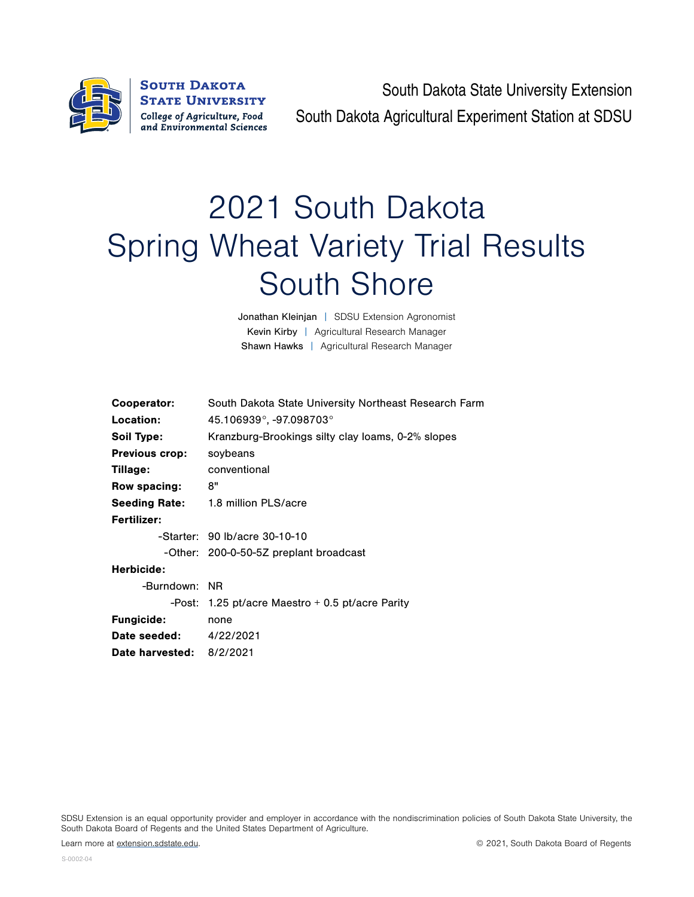

**SOUTH DAKOTA STATE UNIVERSITY** College of Agriculture, Food and Environmental Sciences

South Dakota State University Extension South Dakota Agricultural Experiment Station at SDSU

## 2021 South Dakota Spring Wheat Variety Trial Results South Shore

Jonathan Kleinjan | SDSU Extension Agronomist Kevin Kirby | Agricultural Research Manager Shawn Hawks | Agricultural Research Manager

| Cooperator:              | South Dakota State University Northeast Research Farm |  |  |  |  |  |
|--------------------------|-------------------------------------------------------|--|--|--|--|--|
| Location:                | 45.106939°, -97.098703°                               |  |  |  |  |  |
| Soil Type:               | Kranzburg-Brookings silty clay loams, 0-2% slopes     |  |  |  |  |  |
| <b>Previous crop:</b>    | soybeans                                              |  |  |  |  |  |
| Tillage:                 | conventional                                          |  |  |  |  |  |
| Row spacing:             | 8"                                                    |  |  |  |  |  |
| <b>Seeding Rate:</b>     | 1.8 million PLS/acre                                  |  |  |  |  |  |
| Fertilizer:              |                                                       |  |  |  |  |  |
|                          | -Starter: 90 lb/acre 30-10-10                         |  |  |  |  |  |
|                          | -Other: 200-0-50-5Z preplant broadcast                |  |  |  |  |  |
| Herbicide:               |                                                       |  |  |  |  |  |
| -Burndown: NR            |                                                       |  |  |  |  |  |
|                          | -Post: 1.25 pt/acre Maestro $+$ 0.5 pt/acre Parity    |  |  |  |  |  |
| <b>Fungicide:</b>        | none                                                  |  |  |  |  |  |
| Date seeded:             | 4/22/2021                                             |  |  |  |  |  |
| Date harvested: 8/2/2021 |                                                       |  |  |  |  |  |
|                          |                                                       |  |  |  |  |  |

SDSU Extension is an equal opportunity provider and employer in accordance with the nondiscrimination policies of South Dakota State University, the South Dakota Board of Regents and the United States Department of Agriculture.